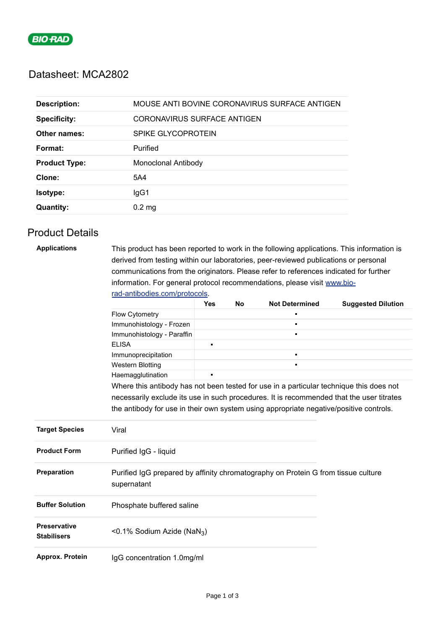

### Datasheet: MCA2802

| <b>Description:</b>  | MOUSE ANTI BOVINE CORONAVIRUS SURFACE ANTIGEN |
|----------------------|-----------------------------------------------|
| <b>Specificity:</b>  | CORONAVIRUS SURFACE ANTIGEN                   |
| Other names:         | SPIKE GLYCOPROTEIN                            |
| Format:              | Purified                                      |
| <b>Product Type:</b> | Monoclonal Antibody                           |
| Clone:               | 5A4                                           |
| Isotype:             | IgG1                                          |
| <b>Quantity:</b>     | $0.2 \text{ mg}$                              |

# Product Details

| <b>Applications</b>                       |                                                                                                                                                                                                                                                                                            | This product has been reported to work in the following applications. This information is |  |                |  |  |  |                                                                                        |                          |           |                       |                           |  |
|-------------------------------------------|--------------------------------------------------------------------------------------------------------------------------------------------------------------------------------------------------------------------------------------------------------------------------------------------|-------------------------------------------------------------------------------------------|--|----------------|--|--|--|----------------------------------------------------------------------------------------|--------------------------|-----------|-----------------------|---------------------------|--|
|                                           | derived from testing within our laboratories, peer-reviewed publications or personal<br>communications from the originators. Please refer to references indicated for further<br>information. For general protocol recommendations, please visit www.bio-<br>rad-antibodies.com/protocols. |                                                                                           |  |                |  |  |  |                                                                                        |                          |           |                       |                           |  |
|                                           |                                                                                                                                                                                                                                                                                            |                                                                                           |  |                |  |  |  |                                                                                        | <b>Yes</b>               | <b>No</b> | <b>Not Determined</b> | <b>Suggested Dilution</b> |  |
|                                           |                                                                                                                                                                                                                                                                                            |                                                                                           |  |                |  |  |  |                                                                                        | <b>Flow Cytometry</b>    |           |                       | $\blacksquare$            |  |
|                                           |                                                                                                                                                                                                                                                                                            |                                                                                           |  |                |  |  |  |                                                                                        | Immunohistology - Frozen |           |                       | $\blacksquare$            |  |
|                                           |                                                                                                                                                                                                                                                                                            | Immunohistology - Paraffin                                                                |  |                |  |  |  |                                                                                        |                          |           |                       |                           |  |
|                                           | <b>ELISA</b>                                                                                                                                                                                                                                                                               | $\blacksquare$                                                                            |  |                |  |  |  |                                                                                        |                          |           |                       |                           |  |
|                                           | Immunoprecipitation                                                                                                                                                                                                                                                                        |                                                                                           |  | $\blacksquare$ |  |  |  |                                                                                        |                          |           |                       |                           |  |
|                                           | <b>Western Blotting</b>                                                                                                                                                                                                                                                                    |                                                                                           |  |                |  |  |  |                                                                                        |                          |           |                       |                           |  |
|                                           | Haemagglutination                                                                                                                                                                                                                                                                          | $\blacksquare$                                                                            |  |                |  |  |  |                                                                                        |                          |           |                       |                           |  |
|                                           | Where this antibody has not been tested for use in a particular technique this does not<br>necessarily exclude its use in such procedures. It is recommended that the user titrates                                                                                                        |                                                                                           |  |                |  |  |  |                                                                                        |                          |           |                       |                           |  |
|                                           |                                                                                                                                                                                                                                                                                            |                                                                                           |  |                |  |  |  | the antibody for use in their own system using appropriate negative/positive controls. |                          |           |                       |                           |  |
|                                           | <b>Target Species</b>                                                                                                                                                                                                                                                                      | Viral                                                                                     |  |                |  |  |  |                                                                                        |                          |           |                       |                           |  |
| <b>Product Form</b>                       | Purified IgG - liquid                                                                                                                                                                                                                                                                      |                                                                                           |  |                |  |  |  |                                                                                        |                          |           |                       |                           |  |
| Preparation                               | Purified IgG prepared by affinity chromatography on Protein G from tissue culture<br>supernatant                                                                                                                                                                                           |                                                                                           |  |                |  |  |  |                                                                                        |                          |           |                       |                           |  |
| <b>Buffer Solution</b>                    | Phosphate buffered saline                                                                                                                                                                                                                                                                  |                                                                                           |  |                |  |  |  |                                                                                        |                          |           |                       |                           |  |
| <b>Preservative</b><br><b>Stabilisers</b> | <0.1% Sodium Azide (NaN <sub>3</sub> )                                                                                                                                                                                                                                                     |                                                                                           |  |                |  |  |  |                                                                                        |                          |           |                       |                           |  |
| Approx. Protein                           | IgG concentration 1.0mg/ml                                                                                                                                                                                                                                                                 |                                                                                           |  |                |  |  |  |                                                                                        |                          |           |                       |                           |  |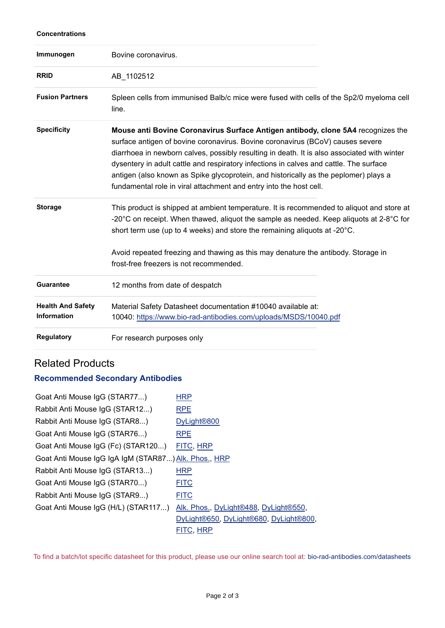#### **Concentrations**

| Immunogen                                      | Bovine coronavirus.                                                                                                                                                                                                                                                                                                                                                                                                                                                                                                       |
|------------------------------------------------|---------------------------------------------------------------------------------------------------------------------------------------------------------------------------------------------------------------------------------------------------------------------------------------------------------------------------------------------------------------------------------------------------------------------------------------------------------------------------------------------------------------------------|
| <b>RRID</b>                                    | AB_1102512                                                                                                                                                                                                                                                                                                                                                                                                                                                                                                                |
| <b>Fusion Partners</b>                         | Spleen cells from immunised Balb/c mice were fused with cells of the Sp2/0 myeloma cell<br>line.                                                                                                                                                                                                                                                                                                                                                                                                                          |
| <b>Specificity</b>                             | Mouse anti Bovine Coronavirus Surface Antigen antibody, clone 5A4 recognizes the<br>surface antigen of bovine coronavirus. Bovine coronavirus (BCoV) causes severe<br>diarrhoea in newborn calves, possibly resulting in death. It is also associated with winter<br>dysentery in adult cattle and respiratory infections in calves and cattle. The surface<br>antigen (also known as Spike glycoprotein, and historically as the peplomer) plays a<br>fundamental role in viral attachment and entry into the host cell. |
| <b>Storage</b>                                 | This product is shipped at ambient temperature. It is recommended to aliquot and store at<br>-20 $^{\circ}$ C on receipt. When thawed, aliquot the sample as needed. Keep aliquots at 2-8 $^{\circ}$ C for<br>short term use (up to 4 weeks) and store the remaining aliquots at -20°C.<br>Avoid repeated freezing and thawing as this may denature the antibody. Storage in                                                                                                                                              |
|                                                | frost-free freezers is not recommended.                                                                                                                                                                                                                                                                                                                                                                                                                                                                                   |
| <b>Guarantee</b>                               | 12 months from date of despatch                                                                                                                                                                                                                                                                                                                                                                                                                                                                                           |
| <b>Health And Safety</b><br><b>Information</b> | Material Safety Datasheet documentation #10040 available at:<br>10040: https://www.bio-rad-antibodies.com/uploads/MSDS/10040.pdf                                                                                                                                                                                                                                                                                                                                                                                          |
| <b>Regulatory</b>                              | For research purposes only                                                                                                                                                                                                                                                                                                                                                                                                                                                                                                |

# Related Products

#### **Recommended Secondary Antibodies**

| Goat Anti Mouse IgG (STAR77)                         | <b>HRP</b>                             |  |  |  |
|------------------------------------------------------|----------------------------------------|--|--|--|
| Rabbit Anti Mouse IgG (STAR12)                       | <b>RPE</b>                             |  |  |  |
| Rabbit Anti Mouse IgG (STAR8)                        | DyLight <sup>®800</sup>                |  |  |  |
| Goat Anti Mouse IgG (STAR76)                         | <b>RPE</b>                             |  |  |  |
| Goat Anti Mouse IgG (Fc) (STAR120)                   | FITC, HRP                              |  |  |  |
| Goat Anti Mouse IgG IgA IgM (STAR87) Alk. Phos., HRP |                                        |  |  |  |
| Rabbit Anti Mouse IgG (STAR13)                       | <b>HRP</b>                             |  |  |  |
| Goat Anti Mouse IgG (STAR70)                         | <b>FITC</b>                            |  |  |  |
| Rabbit Anti Mouse IgG (STAR9)                        | <b>FITC</b>                            |  |  |  |
| Goat Anti Mouse IgG (H/L) (STAR117)                  | Alk. Phos., DyLight®488, DyLight®550,  |  |  |  |
|                                                      | DyLight®650, DyLight®680, DyLight®800, |  |  |  |
|                                                      | FITC, HRP                              |  |  |  |

To find a batch/lot specific datasheet for this product, please use our online search tool at: [bio-rad-antibodies.com/datasheets](https://bio-rad-antibodies.com/datasheets)